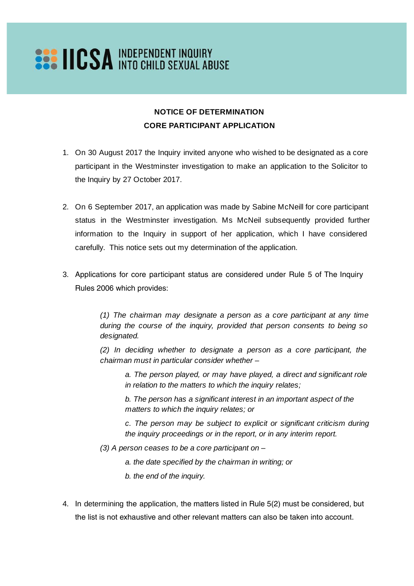## **SAS IICSA INDEPENDENT INQUIRY**

## **NOTICE OF DETERMINATION CORE PARTICIPANT APPLICATION**

- 1. On 30 August 2017 the Inquiry invited anyone who wished to be designated as a core participant in the Westminster investigation to make an application to the Solicitor to the Inquiry by 27 October 2017.
- 2. On 6 September 2017, an application was made by Sabine McNeill for core participant status in the Westminster investigation. Ms McNeil subsequently provided further information to the Inquiry in support of her application, which I have considered carefully. This notice sets out my determination of the application.
- 3. Applications for core participant status are considered under Rule 5 of The Inquiry Rules 2006 which provides:

*(1) The chairman may designate a person as a core participant at any time during the course of the inquiry, provided that person consents to being so designated.*

*(2) In deciding whether to designate a person as a core participant, the chairman must in particular consider whether –*

*a. The person played, or may have played, a direct and significant role in relation to the matters to which the inquiry relates;*

*b. The person has a significant interest in an important aspect of the matters to which the inquiry relates; or*

*c. The person may be subject to explicit or significant criticism during the inquiry proceedings or in the report, or in any interim report.*

- *(3) A person ceases to be a core participant on –*
	- *a. the date specified by the chairman in writing; or*
	- *b. the end of the inquiry.*
- 4. In determining the application, the matters listed in Rule 5(2) must be considered, but the list is not exhaustive and other relevant matters can also be taken into account.